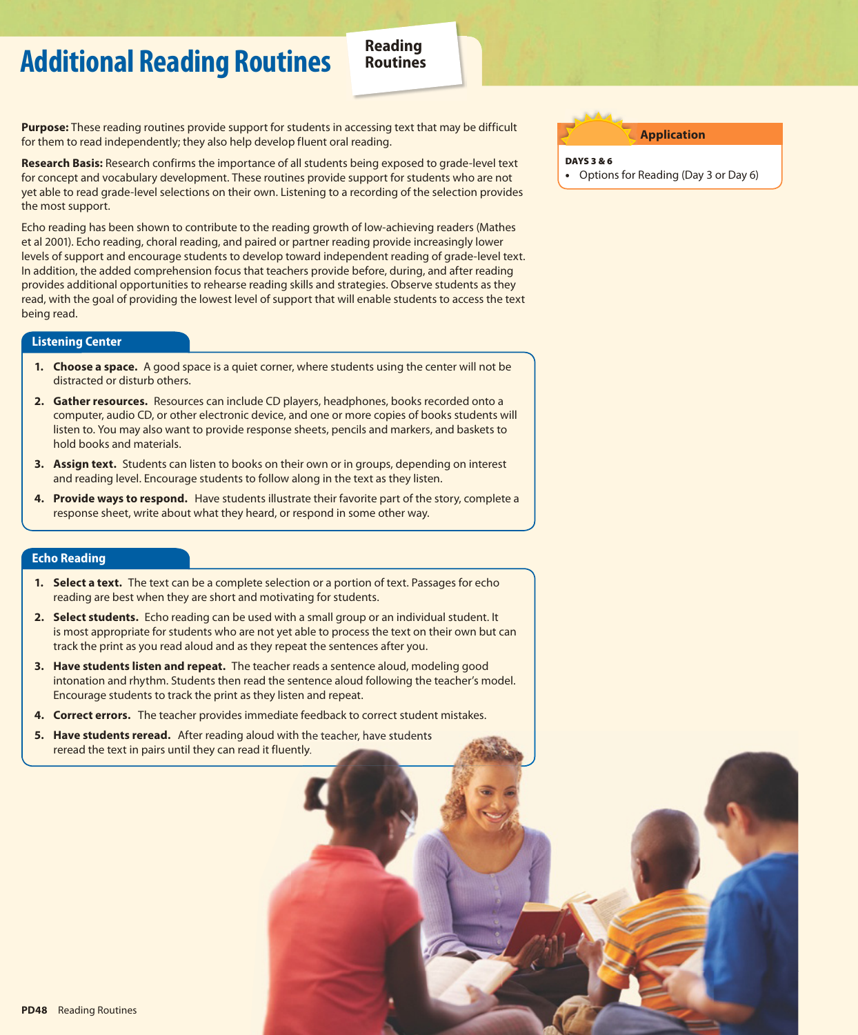# **Additional Reading Routines Reading**

**Purpose:** These reading routines provide support for students in accessing text that may be difficult for them to read independently; they also help develop fluent oral reading.

**Research Basis:** Research confirms the importance of all students being exposed to grade-level text for concept and vocabulary development. These routines provide support for students who are not yet able to read grade-level selections on their own. Listening to a recording of the selection provides the most support.

Echo reading has been shown to contribute to the reading growth of low-achieving readers (Mathes et al 2001). Echo reading, choral reading, and paired or partner reading provide increasingly lower levels of support and encourage students to develop toward independent reading of grade-level text. In addition, the added comprehension focus that teachers provide before, during, and after reading provides additional opportunities to rehearse reading skills and strategies. Observe students as they read, with the goal of providing the lowest level of support that will enable students to access the text being read.

#### **Listening Center**

- **1. Choose a space.** A good space is a quiet corner, where students using the center will not be distracted or disturb others.
- **2. Gather resources.** Resources can include CD players, headphones, books recorded onto a computer, audio CD, or other electronic device, and one or more copies of books students will listen to. You may also want to provide response sheets, pencils and markers, and baskets to hold books and materials.
- **3. Assign text.** Students can listen to books on their own or in groups, depending on interest and reading level. Encourage students to follow along in the text as they listen.
- **4. Provide ways to respond.** Have students illustrate their favorite part of the story, complete a response sheet, write about what they heard, or respond in some other way.

### **Echo Reading**

- **1. Select a text.** The text can be a complete selection or a portion of text. Passages for echo reading are best when they are short and motivating for students.
- **2. Select students.** Echo reading can be used with a small group or an individual student. It is most appropriate for students who are not yet able to process the text on their own but can track the print as you read aloud and as they repeat the sentences after you.
- **3. Have students listen and repeat.** The teacher reads a sentence aloud, modeling good intonation and rhythm. Students then read the sentence aloud following the teacher's model. Encourage students to track the print as they listen and repeat.
- **4. Correct errors.** The teacher provides immediate feedback to correct student mistakes.
- **5. Have students reread.** After reading aloud with the teacher, have students reread the text in pairs until they can read it fluently.